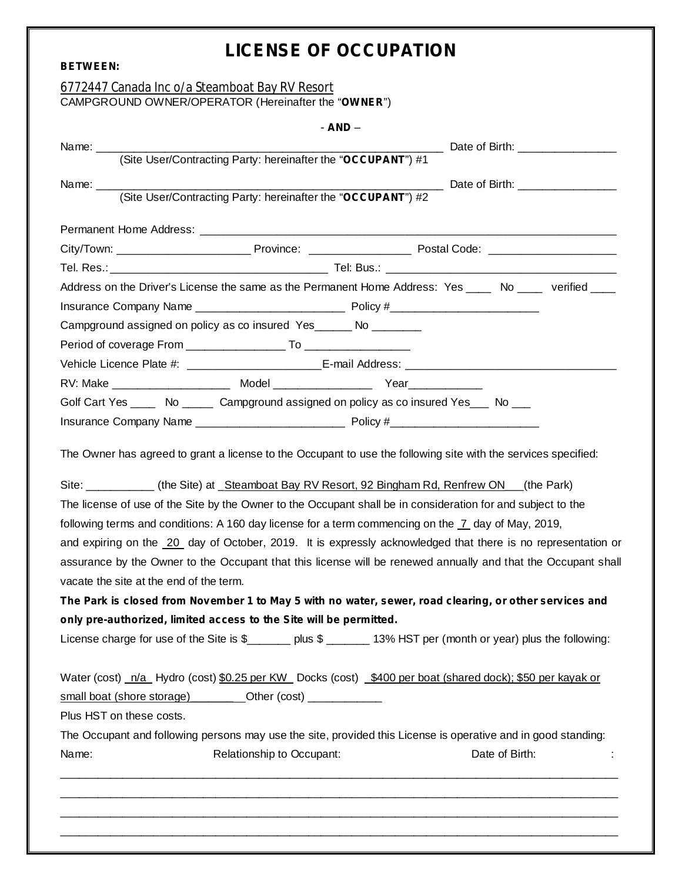# **LICENSE OF OCCUPATION**

| <b>BETWEEN:</b> |                                                                                                                                                                                              |                           | LIGENSE OF OGGUPATION |  |                |  |
|-----------------|----------------------------------------------------------------------------------------------------------------------------------------------------------------------------------------------|---------------------------|-----------------------|--|----------------|--|
|                 | 6772447 Canada Inc o/a Steamboat Bay RV Resort                                                                                                                                               |                           |                       |  |                |  |
|                 | CAMPGROUND OWNER/OPERATOR (Hereinafter the "OWNER")                                                                                                                                          |                           |                       |  |                |  |
|                 |                                                                                                                                                                                              |                           | $- AND -$             |  |                |  |
| Name: _________ |                                                                                                                                                                                              |                           |                       |  |                |  |
|                 |                                                                                                                                                                                              |                           |                       |  |                |  |
| Name: _____     |                                                                                                                                                                                              |                           |                       |  |                |  |
|                 | (Site User/Contracting Party: hereinafter the "OCCUPANT") #2                                                                                                                                 |                           |                       |  |                |  |
|                 |                                                                                                                                                                                              |                           |                       |  |                |  |
|                 |                                                                                                                                                                                              |                           |                       |  |                |  |
|                 |                                                                                                                                                                                              |                           |                       |  |                |  |
|                 | Address on the Driver's License the same as the Permanent Home Address: Yes ____ No ____ verified ____                                                                                       |                           |                       |  |                |  |
|                 |                                                                                                                                                                                              |                           |                       |  |                |  |
|                 | Campground assigned on policy as co insured Yes______ No _______                                                                                                                             |                           |                       |  |                |  |
|                 |                                                                                                                                                                                              |                           |                       |  |                |  |
|                 |                                                                                                                                                                                              |                           |                       |  |                |  |
|                 |                                                                                                                                                                                              |                           |                       |  |                |  |
|                 | Golf Cart Yes ______ No _______ Campground assigned on policy as co insured Yes ____ No ___                                                                                                  |                           |                       |  |                |  |
|                 |                                                                                                                                                                                              |                           |                       |  |                |  |
|                 | The Owner has agreed to grant a license to the Occupant to use the following site with the services specified:                                                                               |                           |                       |  |                |  |
|                 | Site: ____________ (the Site) at _Steamboat Bay RV Resort, 92 Bingham Rd, Renfrew ON ___ (the Park)                                                                                          |                           |                       |  |                |  |
|                 | The license of use of the Site by the Owner to the Occupant shall be in consideration for and subject to the                                                                                 |                           |                       |  |                |  |
|                 | following terms and conditions: A 160 day license for a term commencing on the $\overline{7}$ day of May, 2019,                                                                              |                           |                       |  |                |  |
|                 | and expiring on the 20 day of October, 2019. It is expressly acknowledged that there is no representation or                                                                                 |                           |                       |  |                |  |
|                 | assurance by the Owner to the Occupant that this license will be renewed annually and that the Occupant shall                                                                                |                           |                       |  |                |  |
|                 | vacate the site at the end of the term.                                                                                                                                                      |                           |                       |  |                |  |
|                 | The Park is closed from November 1 to May 5 with no water, sewer, road clearing, or other services and                                                                                       |                           |                       |  |                |  |
|                 | only pre-authorized, limited access to the Site will be permitted.                                                                                                                           |                           |                       |  |                |  |
|                 | License charge for use of the Site is \$______ plus \$ ______ 13% HST per (month or year) plus the following:                                                                                |                           |                       |  |                |  |
|                 | Water (cost) n/a Hydro (cost) \$0.25 per KW Docks (cost) \$400 per boat (shared dock); \$50 per kayak or<br>small boat (shore storage) __________Other (cost) ______________________________ |                           |                       |  |                |  |
|                 | Plus HST on these costs.                                                                                                                                                                     |                           |                       |  |                |  |
|                 | The Occupant and following persons may use the site, provided this License is operative and in good standing:                                                                                |                           |                       |  |                |  |
| Name:           |                                                                                                                                                                                              | Relationship to Occupant: |                       |  | Date of Birth: |  |
|                 | <u> 1989 - Johann Stoff, deutscher Stoff, der Stoff, der Stoff, der Stoff, der Stoff, der Stoff, der Stoff, der S</u>                                                                        |                           |                       |  |                |  |
|                 |                                                                                                                                                                                              |                           |                       |  |                |  |
|                 |                                                                                                                                                                                              |                           |                       |  |                |  |

\_\_\_\_\_\_\_\_\_\_\_\_\_\_\_\_\_\_\_\_\_\_\_\_\_\_\_\_\_\_\_\_\_\_\_\_\_\_\_\_\_\_\_\_\_\_\_\_\_\_\_\_\_\_\_\_\_\_\_\_\_\_\_\_\_\_\_\_\_\_\_\_\_\_\_\_\_\_\_\_\_\_\_\_\_\_\_\_\_\_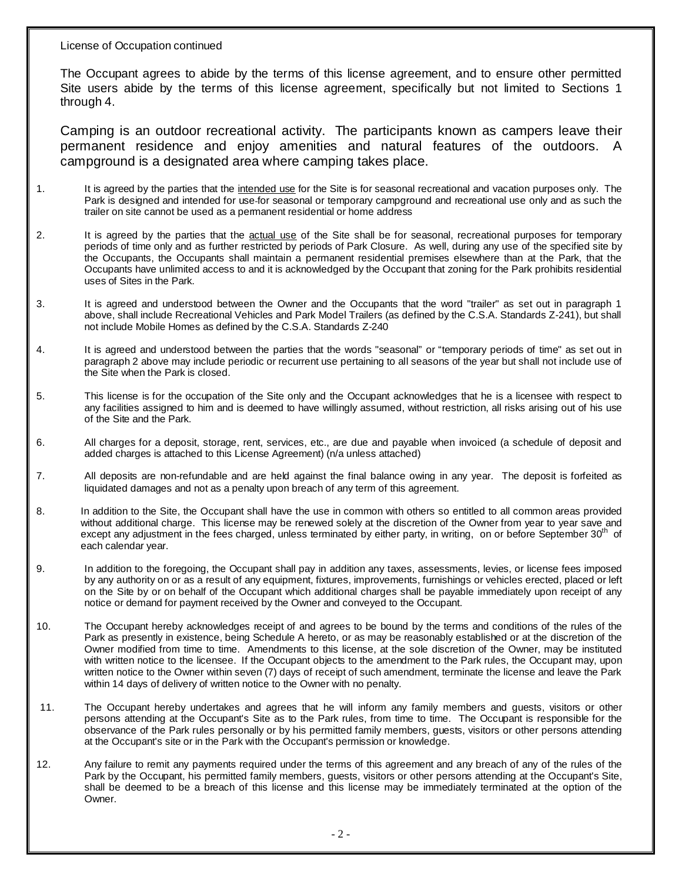The Occupant agrees to abide by the terms of this license agreement, and to ensure other permitted Site users abide by the terms of this license agreement, specifically but not limited to Sections 1 through 4.

Camping is an outdoor recreational activity. The participants known as campers leave their permanent residence and enjoy amenities and natural features of the outdoors. A campground is a designated area where camping takes place.

- 1. It is agreed by the parties that the intended use for the Site is for seasonal recreational and vacation purposes only. The Park is designed and intended for use for seasonal or temporary campground and recreational use only and as such the trailer on site cannot be used as a permanent residential or home address
- 2. It is agreed by the parties that the actual use of the Site shall be for seasonal, recreational purposes for temporary periods of time only and as further restricted by periods of Park Closure. As well, during any use of the specified site by the Occupants, the Occupants shall maintain a permanent residential premises elsewhere than at the Park, that the Occupants have unlimited access to and it is acknowledged by the Occupant that zoning for the Park prohibits residential uses of Sites in the Park.
- 3. It is agreed and understood between the Owner and the Occupants that the word "trailer" as set out in paragraph 1 above, shall include Recreational Vehicles and Park Model Trailers (as defined by the C.S.A. Standards Z-241), but shall not include Mobile Homes as defined by the C.S.A. Standards Z-240
- 4. It is agreed and understood between the parties that the words "seasonal" or "temporary periods of time" as set out in paragraph 2 above may include periodic or recurrent use pertaining to all seasons of the year but shall not include use of the Site when the Park is closed.
- 5. This license is for the occupation of the Site only and the Occupant acknowledges that he is a licensee with respect to any facilities assigned to him and is deemed to have willingly assumed, without restriction, all risks arising out of his use of the Site and the Park.
- 6. All charges for a deposit, storage, rent, services, etc., are due and payable when invoiced (a schedule of deposit and added charges is attached to this License Agreement) (n/a unless attached)
- All deposits are non-refundable and are held against the final balance owing in any year. The deposit is forfeited as liquidated damages and not as a penalty upon breach of any term of this agreement. *.*
- 8. In addition to the Site, the Occupant shall have the use in common with others so entitled to all common areas provided without additional charge. This license may be renewed solely at the discretion of the Owner from year to year save and except any adjustment in the fees charged, unless terminated by either party, in writing, on or before September 30<sup>th</sup> of each calendar year.
- 9. In addition to the foregoing, the Occupant shall pay in addition any taxes, assessments, levies, or license fees imposed by any authority on or as a result of any equipment, fixtures, improvements, furnishings or vehicles erected, placed or left on the Site by or on behalf of the Occupant which additional charges shall be payable immediately upon receipt of any notice or demand for payment received by the Owner and conveyed to the Occupant.
- 10. The Occupant hereby acknowledges receipt of and agrees to be bound by the terms and conditions of the rules of the Park as presently in existence, being Schedule A hereto, or as may be reasonably established or at the discretion of the Owner modified from time to time. Amendments to this license, at the sole discretion of the Owner, may be instituted with written notice to the licensee. If the Occupant objects to the amendment to the Park rules, the Occupant may, upon written notice to the Owner within seven (7) days of receipt of such amendment, terminate the license and leave the Park within 14 days of delivery of written notice to the Owner with no penalty.
- 11. The Occupant hereby undertakes and agrees that he will inform any family members and guests, visitors or other persons attending at the Occupant's Site as to the Park rules, from time to time. The Occupant is responsible for the observance of the Park rules personally or by his permitted family members, guests, visitors or other persons attending at the Occupant's site or in the Park with the Occupant's permission or knowledge.
- 12. Any failure to remit any payments required under the terms of this agreement and any breach of any of the rules of the Park by the Occupant, his permitted family members, guests, visitors or other persons attending at the Occupant's Site, shall be deemed to be a breach of this license and this license may be immediately terminated at the option of the Owner.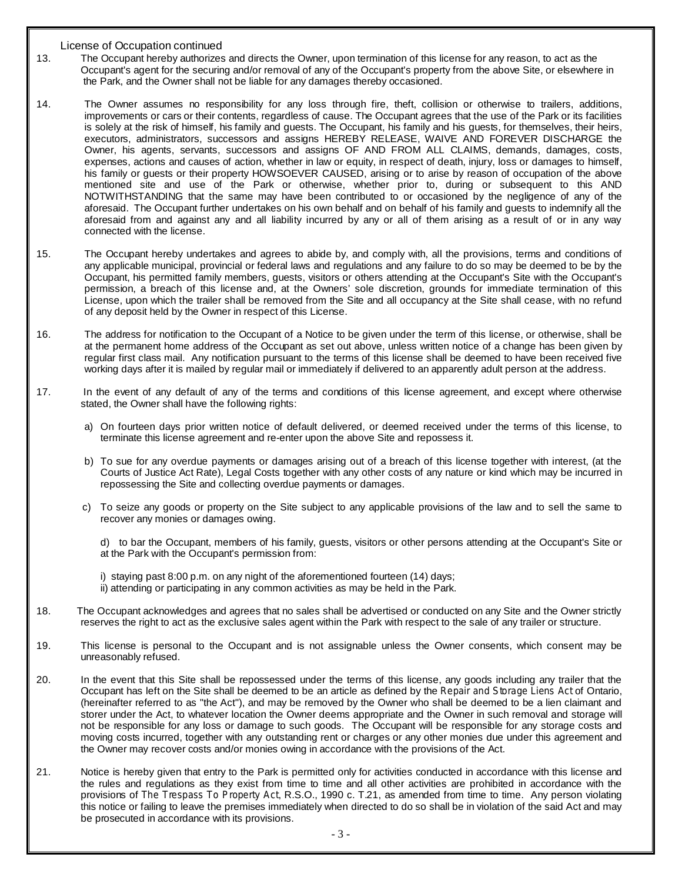- 13. The Occupant hereby authorizes and directs the Owner, upon termination of this license for any reason, to act as the Occupant's agent for the securing and/or removal of any of the Occupant's property from the above Site, or elsewhere in the Park, and the Owner shall not be liable for any damages thereby occasioned.
- 14. The Owner assumes no responsibility for any loss through fire, theft, collision or otherwise to trailers, additions, improvements or cars or their contents, regardless of cause. The Occupant agrees that the use of the Park or its facilities is solely at the risk of himself, his family and guests. The Occupant, his family and his guests, for themselves, their heirs, executors, administrators, successors and assigns HEREBY RELEASE, WAIVE AND FOREVER DISCHARGE the Owner, his agents, servants, successors and assigns OF AND FROM ALL CLAIMS, demands, damages, costs, expenses, actions and causes of action, whether in law or equity, in respect of death, injury, loss or damages to himself, his family or guests or their property HOWSOEVER CAUSED, arising or to arise by reason of occupation of the above mentioned site and use of the Park or otherwise, whether prior to, during or subsequent to this AND NOTWITHSTANDING that the same may have been contributed to or occasioned by the negligence of any of the aforesaid. The Occupant further undertakes on his own behalf and on behalf of his family and guests to indemnify all the aforesaid from and against any and all liability incurred by any or all of them arising as a result of or in any way connected with the license.
- 15. The Occupant hereby undertakes and agrees to abide by, and comply with, all the provisions, terms and conditions of any applicable municipal, provincial or federal laws and regulations and any failure to do so may be deemed to be by the Occupant, his permitted family members, guests, visitors or others attending at the Occupant's Site with the Occupant's permission, a breach of this license and, at the Owners' sole discretion, grounds for immediate termination of this License, upon which the trailer shall be removed from the Site and all occupancy at the Site shall cease, with no refund of any deposit held by the Owner in respect of this License.
- 16. The address for notification to the Occupant of a Notice to be given under the term of this license, or otherwise, shall be at the permanent home address of the Occupant as set out above, unless written notice of a change has been given by regular first class mail. Any notification pursuant to the terms of this license shall be deemed to have been received five working days after it is mailed by regular mail or immediately if delivered to an apparently adult person at the address.
- 17. In the event of any default of any of the terms and conditions of this license agreement, and except where otherwise stated, the Owner shall have the following rights:
	- a) On fourteen days prior written notice of default delivered, or deemed received under the terms of this license, to terminate this license agreement and re-enter upon the above Site and repossess it.
	- b) To sue for any overdue payments or damages arising out of a breach of this license together with interest, (at the Courts of Justice Act Rate), Legal Costs together with any other costs of any nature or kind which may be incurred in repossessing the Site and collecting overdue payments or damages.
	- c) To seize any goods or property on the Site subject to any applicable provisions of the law and to sell the same to recover any monies or damages owing.

d) to bar the Occupant, members of his family, guests, visitors or other persons attending at the Occupant's Site or at the Park with the Occupant's permission from:

i) staying past 8:00 p.m. on any night of the aforementioned fourteen (14) days; ii) attending or participating in any common activities as may be held in the Park.

- 18. The Occupant acknowledges and agrees that no sales shall be advertised or conducted on any Site and the Owner strictly reserves the right to act as the exclusive sales agent within the Park with respect to the sale of any trailer or structure.
- 19. This license is personal to the Occupant and is not assignable unless the Owner consents, which consent may be unreasonably refused.
- 20. In the event that this Site shall be repossessed under the terms of this license, any goods including any trailer that the Occupant has left on the Site shall be deemed to be an article as defined by the Repair and Storage Liens Act of Ontario, (hereinafter referred to as "the Act"), and may be removed by the Owner who shall be deemed to be a lien claimant and storer under the Act, to whatever location the Owner deems appropriate and the Owner in such removal and storage will not be responsible for any loss or damage to such goods. The Occupant will be responsible for any storage costs and moving costs incurred, together with any outstanding rent or charges or any other monies due under this agreement and the Owner may recover costs and/or monies owing in accordance with the provisions of the Act.
- 21. Notice is hereby given that entry to the Park is permitted only for activities conducted in accordance with this license and the rules and regulations as they exist from time to time and all other activities are prohibited in accordance with the provisions of The Trespass To Property Act, R.S.O., 1990 c. T.21, as amended from time to time. Any person violating this notice or failing to leave the premises immediately when directed to do so shall be in violation of the said Act and may be prosecuted in accordance with its provisions.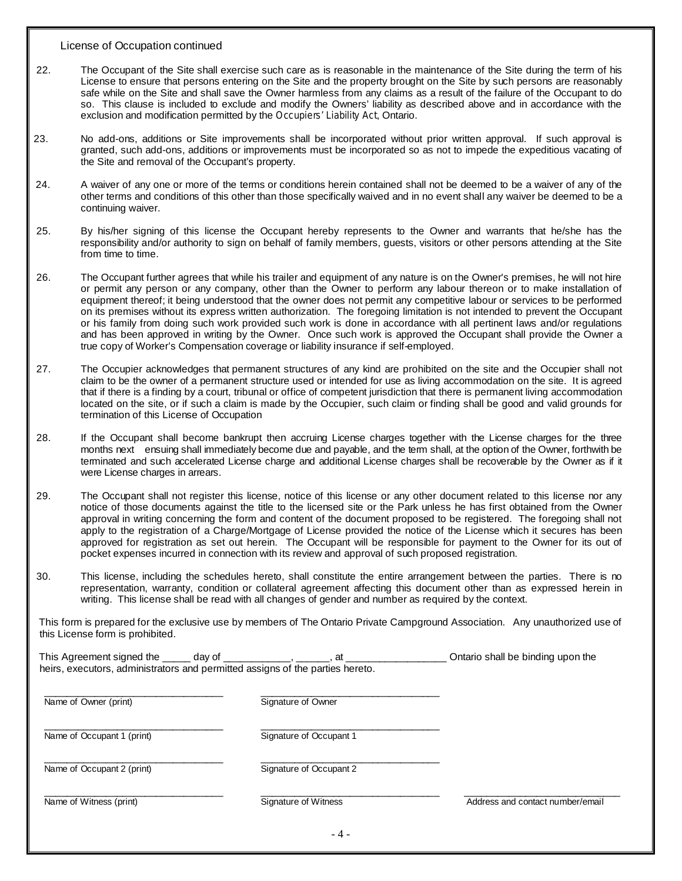- 22. The Occupant of the Site shall exercise such care as is reasonable in the maintenance of the Site during the term of his License to ensure that persons entering on the Site and the property brought on the Site by such persons are reasonably safe while on the Site and shall save the Owner harmless from any claims as a result of the failure of the Occupant to do so. This clause is included to exclude and modify the Owners' liability as described above and in accordance with the exclusion and modification permitted by the Occupiers' Liability Act, Ontario.
- 23. No add-ons, additions or Site improvements shall be incorporated without prior written approval. If such approval is granted, such add-ons, additions or improvements must be incorporated so as not to impede the expeditious vacating of the Site and removal of the Occupant's property.
- 24. A waiver of any one or more of the terms or conditions herein contained shall not be deemed to be a waiver of any of the other terms and conditions of this other than those specifically waived and in no event shall any waiver be deemed to be a continuing waiver.
- 25. By his/her signing of this license the Occupant hereby represents to the Owner and warrants that he/she has the responsibility and/or authority to sign on behalf of family members, guests, visitors or other persons attending at the Site from time to time.
- 26. The Occupant further agrees that while his trailer and equipment of any nature is on the Owner's premises, he will not hire or permit any person or any company, other than the Owner to perform any labour thereon or to make installation of equipment thereof; it being understood that the owner does not permit any competitive labour or services to be performed on its premises without its express written authorization. The foregoing limitation is not intended to prevent the Occupant or his family from doing such work provided such work is done in accordance with all pertinent laws and/or regulations and has been approved in writing by the Owner. Once such work is approved the Occupant shall provide the Owner a true copy of Worker's Compensation coverage or liability insurance if self-employed.
- 27. The Occupier acknowledges that permanent structures of any kind are prohibited on the site and the Occupier shall not claim to be the owner of a permanent structure used or intended for use as living accommodation on the site. It is agreed that if there is a finding by a court, tribunal or office of competent jurisdiction that there is permanent living accommodation located on the site, or if such a claim is made by the Occupier, such claim or finding shall be good and valid grounds for termination of this License of Occupation
- 28. If the Occupant shall become bankrupt then accruing License charges together with the License charges for the three months next ensuing shall immediately become due and payable, and the term shall, at the option of the Owner, forthwith be terminated and such accelerated License charge and additional License charges shall be recoverable by the Owner as if it were License charges in arrears.
- 29. The Occupant shall not register this license, notice of this license or any other document related to this license nor any notice of those documents against the title to the licensed site or the Park unless he has first obtained from the Owner approval in writing concerning the form and content of the document proposed to be registered. The foregoing shall not apply to the registration of a Charge/Mortgage of License provided the notice of the License which it secures has been approved for registration as set out herein. The Occupant will be responsible for payment to the Owner for its out of pocket expenses incurred in connection with its review and approval of such proposed registration.
- 30. This license, including the schedules hereto, shall constitute the entire arrangement between the parties. There is no representation, warranty, condition or collateral agreement affecting this document other than as expressed herein in writing. This license shall be read with all changes of gender and number as required by the context.

This form is prepared for the exclusive use by members of The Ontario Private Campground Association. Any unauthorized use of this License form is prohibited.

| This Agreement signed the ____ day of __ | at<br>heirs, executors, administrators and permitted assigns of the parties hereto. | Ontario shall be binding upon the |
|------------------------------------------|-------------------------------------------------------------------------------------|-----------------------------------|
| Name of Owner (print)                    | Signature of Owner                                                                  |                                   |
| Name of Occupant 1 (print)               | Signature of Occupant 1                                                             |                                   |
| Name of Occupant 2 (print)               | Signature of Occupant 2                                                             |                                   |
| Name of Witness (print)                  | Signature of Witness                                                                | Address and contact number/email  |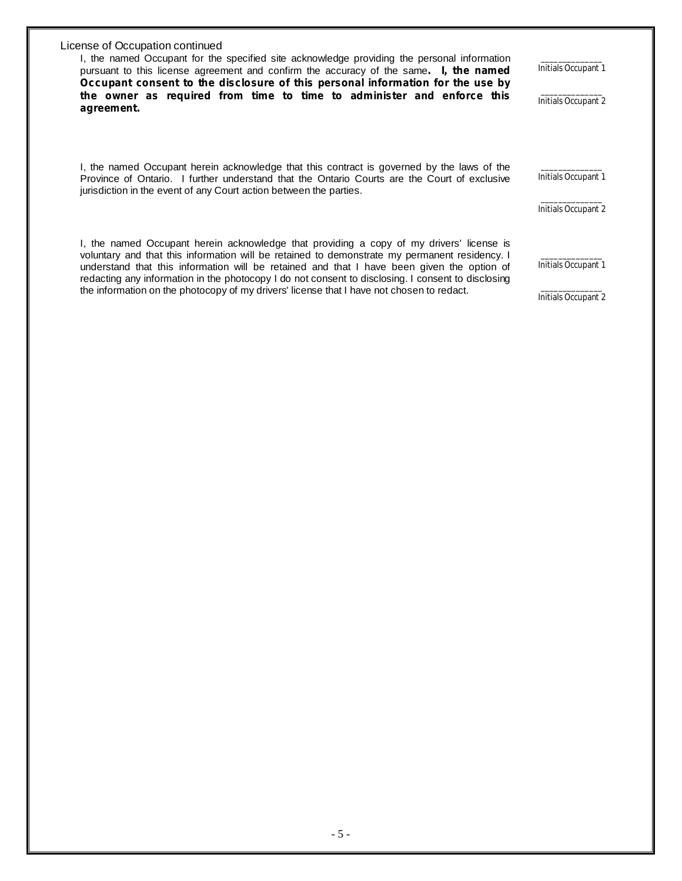I, the named Occupant for the specified site acknowledge providing the personal information pursuant to this license agreement and confirm the accuracy of the same **. I, the named Occupant consent to the disclosure of this personal information for the use by the owner as required from time to time to administer and enforce this agreement.**

I, the named Occupant herein acknowledge that this contract is governed by the laws of the Province of Ontario. I further understand that the Ontario Courts are the Court of exclusive jurisdiction in the event of any Court action between the parties.

 $\mathcal{L}=\mathcal{L}^{\mathcal{L}}$ Initials Occupant 2

\_\_\_\_\_\_\_\_\_\_\_\_\_\_ Initials Occupant 1

 $\mathcal{L}=\mathcal{L}^{\mathcal{L}}$ Initials Occupant 1

\_\_\_\_\_\_\_\_\_\_\_\_\_\_ Initials Occupant 2

I, the named Occupant herein acknowledge that providing a copy of my drivers' license is voluntary and that this information will be retained to demonstrate my permanent residency. I understand that this information will be retained and that I have been given the option of redacting any information in the photocopy I do not consent to disclosing. I consent to disclosing the information on the photocopy of my drivers' license that I have not chosen to redact.

\_\_\_\_\_\_\_\_\_\_\_\_\_\_ Initials Occupant 1

\_\_\_\_\_\_\_\_\_\_\_\_\_\_ Initials Occupant 2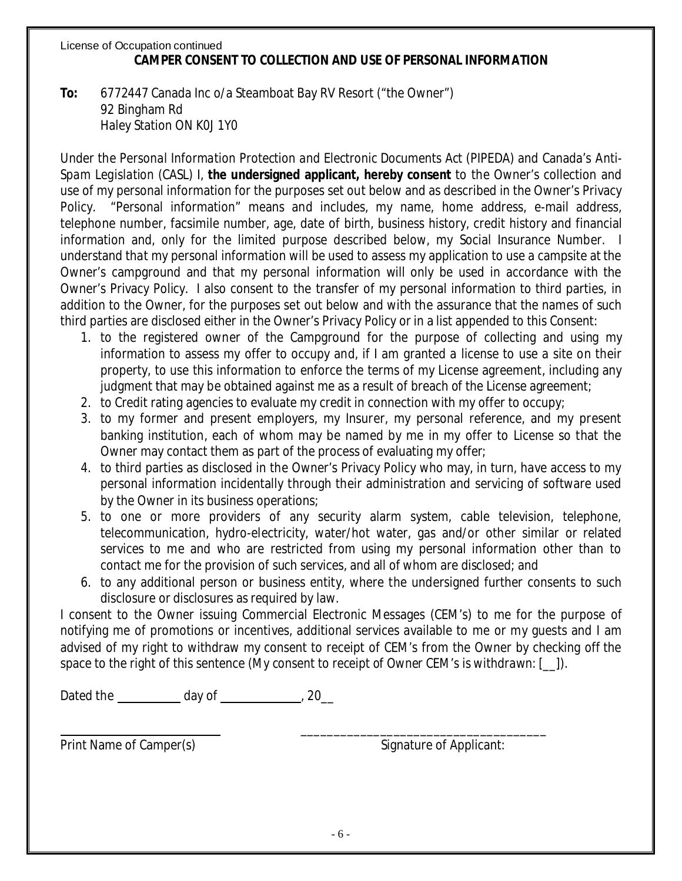## License of Occupation continued **CAMPER CONSENT TO COLLECTION AND USE OF PERSONAL INFORMATION**

**To:** 6772447 Canada Inc o/a Steamboat Bay RV Resort ("the Owner") 92 Bingham Rd Haley Station ON K0J 1Y0

Spam Legislation (CASL) I, the undersigned applicant, hereby consent to the Owner's collection and Under the Personal Information Protection and Electronic Documents Act (PIPEDA) and Canada's Antiuse of my personal information for the purposes set out below and as described in the Owner's Privacy Policy. "Personal information" means and includes, my name, home address, e-mail address, telephone number, facsimile number, age, date of birth, business history, credit history and financial information and, only for the limited purpose described below, my Social Insurance Number. I understand that my personal information will be used to assess my application to use a campsite at the Owner's campground and that my personal information will only be used in accordance with the Owner's Privacy Policy. I also consent to the transfer of my personal information to third parties, in addition to the Owner, for the purposes set out below and with the assurance that the names of such third parties are disclosed either in the Owner's Privacy Policy or in a list appended to this Consent:

- 1. to the registered owner of the Campground for the purpose of collecting and using my information to assess my offer to occupy and, if I am granted a license to use a site on their property, to use this information to enforce the terms of my License agreement, including any judgment that may be obtained against me as a result of breach of the License agreement;
- 2. to Credit rating agencies to evaluate my credit in connection with my offer to occupy;
- 3. to my former and present employers, my Insurer, my personal reference, and my present banking institution, each of whom may be named by me in my offer to License so that the Owner may contact them as part of the process of evaluating my offer;
- 4. to third parties as disclosed in the Owner's Privacy Policy who may, in turn, have access to my personal information incidentally through their administration and servicing of software used by the Owner in its business operations;
- 5. to one or more providers of any security alarm system, cable television, telephone, telecommunication, hydro-electricity, water/hot water, gas and/or other similar or related services to me and who are restricted from using my personal information other than to contact me for the provision of such services, and all of whom are disclosed; and
- 6. to any additional person or business entity, where the undersigned further consents to such disclosure or disclosures as required by law.

I consent to the Owner issuing Commercial Electronic Messages (CEM's) to me for the purpose of notifying me of promotions or incentives, additional services available to me or my guests and I am advised of my right to withdraw my consent to receipt of CEM's from the Owner by checking off the space to the right of this sentence (My consent to receipt of Owner CEM's is withdrawn:  $[\_$ ).

Dated the \_\_\_\_\_\_\_\_\_\_\_ day of \_\_\_\_\_\_\_\_\_\_\_\_\_\_, 20\_\_

Print Name of Camper(s) example 2 and Signature of Applicant:

\_\_\_\_\_\_\_\_\_\_\_\_\_\_\_\_\_\_\_\_\_\_\_\_\_\_\_\_\_\_\_\_\_\_\_\_\_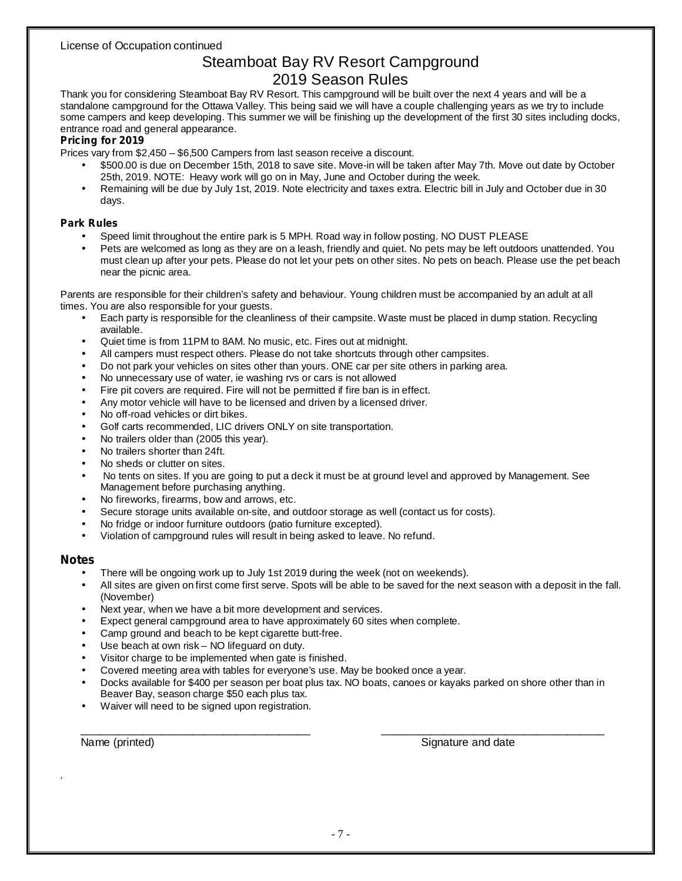# Steamboat Bay RV Resort Campground 2019 Season Rules

Thank you for considering Steamboat Bay RV Resort. This campground will be built over the next 4 years and will be a standalone campground for the Ottawa Valley. This being said we will have a couple challenging years as we try to include some campers and keep developing. This summer we will be finishing up the development of the first 30 sites including docks, entrance road and general appearance.

#### **Pricing for 2019**

Prices vary from \$2,450 – \$6,500 Campers from last season receive a discount.

- \$500.00 is due on December 15th, 2018 to save site. Move-in will be taken after May 7th. Move out date by October 25th, 2019. NOTE: Heavy work will go on in May, June and October during the week. •
- Remaining will be due by July 1st, 2019. Note electricity and taxes extra. Electric bill in July and October due in 30 days. •

#### **Park Rules**

- Speed limit throughout the entire park is 5 MPH. Road way in follow posting. NO DUST PLEASE •
- Pets are welcomed as long as they are on a leash, friendly and quiet. No pets may be left outdoors unattended. You must clean up after your pets. Please do not let your pets on other sites. No pets on beach. Please use the pet beach near the picnic area. •

Parents are responsible for their children's safety and behaviour. Young children must be accompanied by an adult at all times. You are also responsible for your guests.

- Each party is responsible for the cleanliness of their campsite. Waste must be placed in dump station. Recycling available. •
- Quiet time is from 11PM to 8AM. No music, etc. Fires out at midnight. •
- All campers must respect others. Please do not take shortcuts through other campsites. •
- Do not park your vehicles on sites other than yours. ONE car per site others in parking area. •
- No unnecessary use of water, ie washing rvs or cars is not allowed •
- Fire pit covers are required. Fire will not be permitted if fire ban is in effect. •
- Any motor vehicle will have to be licensed and driven by a licensed driver. •
- No off-road vehicles or dirt bikes. •
- Golf carts recommended, LIC drivers ONLY on site transportation. •
- No trailers older than (2005 this year). •
- No trailers shorter than 24ft. •
- No sheds or clutter on sites. •
- No tents on sites. If you are going to put a deck it must be at ground level and approved by Management. See Management before purchasing anything. •
- No fireworks, firearms, bow and arrows, etc. •
- Secure storage units available on-site, and outdoor storage as well (contact us for costs). •
- No fridge or indoor furniture outdoors (patio furniture excepted). •
- Violation of campground rules will result in being asked to leave. No refund. •

### **Notes**

,

- There will be ongoing work up to July 1st 2019 during the week (not on weekends). •
- All sites are given on first come first serve. Spots will be able to be saved for the next season with a deposit in the fall. (November) •
- Next year, when we have a bit more development and services. •
- Expect general campground area to have approximately 60 sites when complete. •
- Camp ground and beach to be kept cigarette butt-free. •
- Use beach at own risk NO lifeguard on duty. •
- Visitor charge to be implemented when gate is finished. •
- Covered meeting area with tables for everyone's use. May be booked once a year. •
- Docks available for \$400 per season per boat plus tax. NO boats, canoes or kayaks parked on shore other than in Beaver Bay, season charge \$50 each plus tax. •

\_\_\_\_\_\_\_\_\_\_\_\_\_\_\_\_\_\_\_\_\_\_\_\_\_\_\_\_\_\_\_\_\_\_\_\_\_ \_\_\_\_\_\_\_\_\_\_\_\_\_\_\_\_\_\_\_\_\_\_\_\_\_\_\_\_\_\_\_\_\_\_\_\_

Waiver will need to be signed upon registration. •

Name (printed) Signature and date of the state of the Signature and date